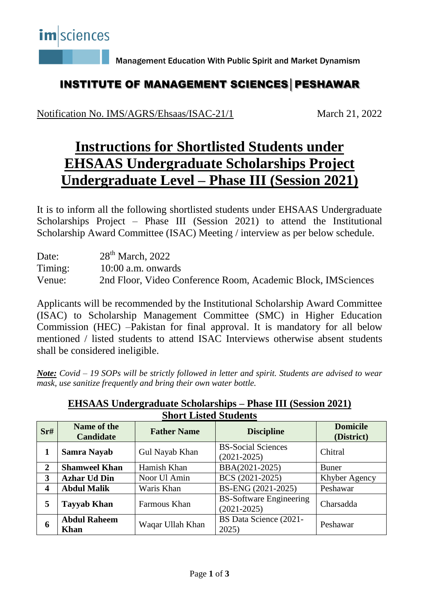

Management Education With Public Spirit and Market Dynamism

#### INSTITUTE OF MANAGEMENT SCIENCES│PESHAWAR

Notification No. IMS/AGRS/Ehsaas/ISAC-21/1 March 21, 2022

# **Instructions for Shortlisted Students under EHSAAS Undergraduate Scholarships Project Undergraduate Level – Phase III (Session 2021)**

It is to inform all the following shortlisted students under EHSAAS Undergraduate Scholarships Project – Phase III (Session 2021) to attend the Institutional Scholarship Award Committee (ISAC) Meeting / interview as per below schedule.

| Date:   | $28th$ March, 2022                                           |
|---------|--------------------------------------------------------------|
| Timing: | $10:00$ a.m. onwards                                         |
| Venue:  | 2nd Floor, Video Conference Room, Academic Block, IMSciences |

Applicants will be recommended by the Institutional Scholarship Award Committee (ISAC) to Scholarship Management Committee (SMC) in Higher Education Commission (HEC) –Pakistan for final approval. It is mandatory for all below mentioned / listed students to attend ISAC Interviews otherwise absent students shall be considered ineligible.

*Note: Covid – 19 SOPs will be strictly followed in letter and spirit. Students are advised to wear mask, use sanitize frequently and bring their own water bottle.* 

| SHOLT TIPICA STUDENTS   |                                    |                    |                                                   |                               |  |  |  |
|-------------------------|------------------------------------|--------------------|---------------------------------------------------|-------------------------------|--|--|--|
| Sr#                     | Name of the<br><b>Candidate</b>    | <b>Father Name</b> | <b>Discipline</b>                                 | <b>Domicile</b><br>(District) |  |  |  |
| 1                       | Samra Nayab                        | Gul Nayab Khan     | <b>BS-Social Sciences</b><br>$(2021 - 2025)$      | Chitral                       |  |  |  |
| $\overline{2}$          | <b>Shamweel Khan</b>               | Hamish Khan        | BBA(2021-2025)                                    | <b>Buner</b>                  |  |  |  |
| 3                       | <b>Azhar Ud Din</b>                | Noor Ul Amin       | BCS (2021-2025)                                   | Khyber Agency                 |  |  |  |
| $\overline{\mathbf{4}}$ | <b>Abdul Malik</b>                 | Waris Khan         | BS-ENG (2021-2025)                                | Peshawar                      |  |  |  |
| 5                       | <b>Tayyab Khan</b>                 | Farmous Khan       | <b>BS-Software Engineering</b><br>$(2021 - 2025)$ | Charsadda                     |  |  |  |
| 6                       | <b>Abdul Raheem</b><br><b>Khan</b> | Waqar Ullah Khan   | BS Data Science (2021-<br>2025)                   | Peshawar                      |  |  |  |

**EHSAAS Undergraduate Scholarships – Phase III (Session 2021) Short Listed Students**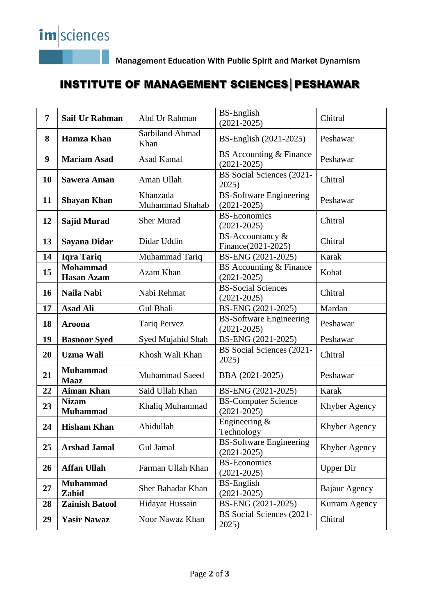Management Education With Public Spirit and Market Dynamism

## INSTITUTE OF MANAGEMENT SCIENCES│PESHAWAR

| $\overline{7}$ | <b>Saif Ur Rahman</b>                | Abd Ur Rahman               | <b>BS-English</b><br>$(2021 - 2025)$              | Chitral          |
|----------------|--------------------------------------|-----------------------------|---------------------------------------------------|------------------|
| 8              | <b>Hamza Khan</b>                    | Sarbiland Ahmad<br>Khan     | BS-English (2021-2025)                            | Peshawar         |
| 9              | <b>Mariam Asad</b>                   | <b>Asad Kamal</b>           | BS Accounting & Finance<br>$(2021 - 2025)$        | Peshawar         |
| 10             | <b>Sawera Aman</b>                   | Aman Ullah                  | BS Social Sciences (2021-<br>2025)                | Chitral          |
| 11             | <b>Shayan Khan</b>                   | Khanzada<br>Muhammad Shahab | <b>BS-Software Engineering</b><br>$(2021 - 2025)$ | Peshawar         |
| 12             | <b>Sajid Murad</b>                   | <b>Sher Murad</b>           | <b>BS-Economics</b><br>$(2021 - 2025)$            | Chitral          |
| 13             | <b>Sayana Didar</b>                  | Didar Uddin                 | BS-Accountancy &<br>Finance(2021-2025)            | Chitral          |
| 14             | <b>Iqra Tariq</b>                    | Muhammad Tariq              | BS-ENG (2021-2025)                                | Karak            |
| 15             | <b>Mohammad</b><br><b>Hasan Azam</b> | Azam Khan                   | BS Accounting & Finance<br>$(2021 - 2025)$        | Kohat            |
| 16             | Naila Nabi                           | Nabi Rehmat                 | <b>BS-Social Sciences</b><br>$(2021 - 2025)$      | Chitral          |
| 17             | <b>Asad Ali</b>                      | <b>Gul Bhali</b>            | BS-ENG (2021-2025)                                | Mardan           |
| 18             | Aroona                               | <b>Tariq Pervez</b>         | <b>BS-Software Engineering</b><br>$(2021 - 2025)$ | Peshawar         |
| 19             | <b>Basnoor Syed</b>                  | Syed Mujahid Shah           | BS-ENG (2021-2025)                                | Peshawar         |
| 20             | <b>Uzma Wali</b>                     | Khosh Wali Khan             | BS Social Sciences (2021-<br>2025)                | Chitral          |
| 21             | <b>Muhammad</b><br><b>Maaz</b>       | <b>Muhammad Saeed</b>       | BBA (2021-2025)                                   | Peshawar         |
| 22             | <b>Aiman Khan</b>                    | Said Ullah Khan             | BS-ENG (2021-2025)                                | Karak            |
| 23             | <b>Nizam</b><br><b>Muhammad</b>      | Khaliq Muhammad             | <b>BS-Computer Science</b><br>$(2021 - 2025)$     | Khyber Agency    |
| 24             | <b>Hisham Khan</b>                   | Abidullah                   | Engineering &<br>Technology                       | Khyber Agency    |
| 25             | <b>Arshad Jamal</b>                  | Gul Jamal                   | <b>BS-Software Engineering</b><br>$(2021 - 2025)$ | Khyber Agency    |
| 26             | <b>Affan Ullah</b>                   | Farman Ullah Khan           | <b>BS-Economics</b><br>$(2021 - 2025)$            | <b>Upper Dir</b> |
| 27             | <b>Muhammad</b><br>Zahid             | Sher Bahadar Khan           | <b>BS-English</b><br>$(2021 - 2025)$              | Bajaur Agency    |
| 28             | <b>Zainish Batool</b>                | Hidayat Hussain             | BS-ENG (2021-2025)                                | Kurram Agency    |
| 29             | <b>Yasir Nawaz</b>                   | Noor Nawaz Khan             | BS Social Sciences (2021-<br>2025)                | Chitral          |